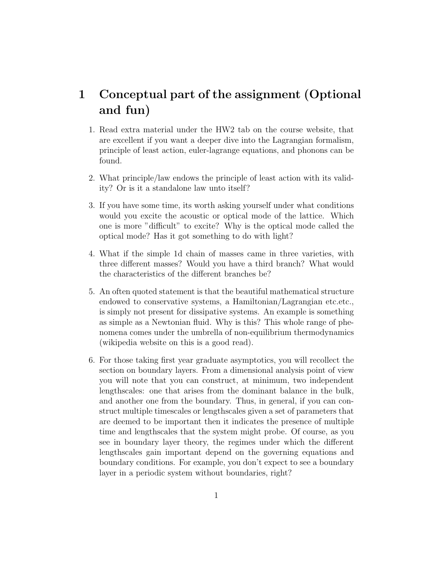## 1 Conceptual part of the assignment (Optional and fun)

- 1. Read extra material under the HW2 tab on the course website, that are excellent if you want a deeper dive into the Lagrangian formalism, principle of least action, euler-lagrange equations, and phonons can be found.
- 2. What principle/law endows the principle of least action with its validity? Or is it a standalone law unto itself?
- 3. If you have some time, its worth asking yourself under what conditions would you excite the acoustic or optical mode of the lattice. Which one is more "difficult" to excite? Why is the optical mode called the optical mode? Has it got something to do with light?
- 4. What if the simple 1d chain of masses came in three varieties, with three different masses? Would you have a third branch? What would the characteristics of the different branches be?
- 5. An often quoted statement is that the beautiful mathematical structure endowed to conservative systems, a Hamiltonian/Lagrangian etc.etc., is simply not present for dissipative systems. An example is something as simple as a Newtonian fluid. Why is this? This whole range of phenomena comes under the umbrella of non-equilibrium thermodynamics (wikipedia website on this is a good read).
- 6. For those taking first year graduate asymptotics, you will recollect the section on boundary layers. From a dimensional analysis point of view you will note that you can construct, at minimum, two independent lengthscales: one that arises from the dominant balance in the bulk, and another one from the boundary. Thus, in general, if you can construct multiple timescales or lengthscales given a set of parameters that are deemed to be important then it indicates the presence of multiple time and lengthscales that the system might probe. Of course, as you see in boundary layer theory, the regimes under which the different lengthscales gain important depend on the governing equations and boundary conditions. For example, you don't expect to see a boundary layer in a periodic system without boundaries, right?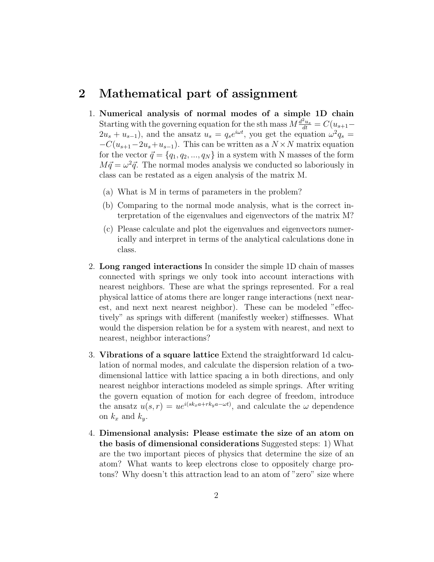## 2 Mathematical part of assignment

- 1. Numerical analysis of normal modes of a simple 1D chain Starting with the governing equation for the sth mass  $M \frac{d^2 u_s}{dt} = C(u_{s+1} 2u_s + u_{s-1}$ , and the ansatz  $u_s = q_s e^{i\omega t}$ , you get the equation  $\omega^2 q_s =$  $-C(u_{s+1}-2u_s+u_{s-1})$ . This can be written as a  $N \times N$  matrix equation for the vector  $\vec{q} = \{q_1, q_2, ..., q_N\}$  in a system with N masses of the form  $M\vec{q} = \omega^2\vec{q}$ . The normal modes analysis we conducted so laboriously in class can be restated as a eigen analysis of the matrix M.
	- (a) What is M in terms of parameters in the problem?
	- (b) Comparing to the normal mode analysis, what is the correct interpretation of the eigenvalues and eigenvectors of the matrix M?
	- (c) Please calculate and plot the eigenvalues and eigenvectors numerically and interpret in terms of the analytical calculations done in class.
- 2. Long ranged interactions In consider the simple 1D chain of masses connected with springs we only took into account interactions with nearest neighbors. These are what the springs represented. For a real physical lattice of atoms there are longer range interactions (next nearest, and next next nearest neighbor). These can be modeled "effectively" as springs with different (manifestly weeker) stiffnesses. What would the dispersion relation be for a system with nearest, and next to nearest, neighbor interactions?
- 3. Vibrations of a square lattice Extend the straightforward 1d calculation of normal modes, and calculate the dispersion relation of a twodimensional lattice with lattice spacing a in both directions, and only nearest neighbor interactions modeled as simple springs. After writing the govern equation of motion for each degree of freedom, introduce the ansatz  $u(s,r) = ue^{i(sk_xa+rk_ya-\omega t)}$ , and calculate the  $\omega$  dependence on  $k_x$  and  $k_y$ .
- 4. Dimensional analysis: Please estimate the size of an atom on the basis of dimensional considerations Suggested steps: 1) What are the two important pieces of physics that determine the size of an atom? What wants to keep electrons close to oppositely charge protons? Why doesn't this attraction lead to an atom of "zero" size where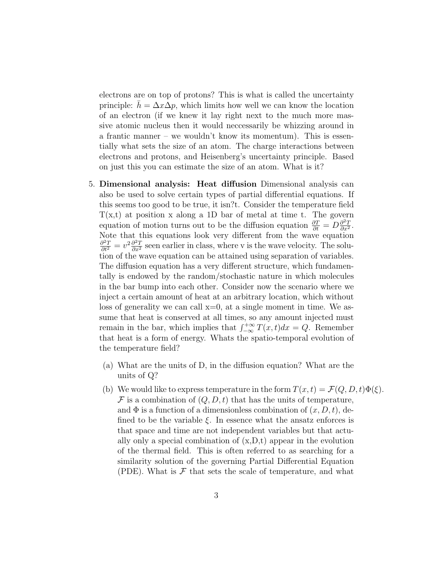electrons are on top of protons? This is what is called the uncertainty principle:  $h = \Delta x \Delta p$ , which limits how well we can know the location of an electron (if we knew it lay right next to the much more massive atomic nucleus then it would neccessarily be whizzing around in a frantic manner – we wouldn't know its momentum). This is essentially what sets the size of an atom. The charge interactions between electrons and protons, and Heisenberg's uncertainty principle. Based on just this you can estimate the size of an atom. What is it?

- 5. Dimensional analysis: Heat diffusion Dimensional analysis can also be used to solve certain types of partial differential equations. If this seems too good to be true, it isn?t. Consider the temperature field  $T(x,t)$  at position x along a 1D bar of metal at time t. The govern equation of motion turns out to be the diffusion equation  $\frac{\partial T}{\partial t} = D \frac{\partial^2 T}{\partial x^2}$  $\frac{\partial^2 T}{\partial x^2}$ . Note that this equations look very different from the wave equation  $\frac{\partial^2 T}{\partial t^2} = v^2 \frac{\partial^2 T}{\partial x^2}$  seen earlier in class, where v is the wave velocity. The solution of the wave equation can be attained using separation of variables. The diffusion equation has a very different structure, which fundamentally is endowed by the random/stochastic nature in which molecules in the bar bump into each other. Consider now the scenario where we inject a certain amount of heat at an arbitrary location, which without loss of generality we can call  $x=0$ , at a single moment in time. We assume that heat is conserved at all times, so any amount injected must remain in the bar, which implies that  $\int_{-\infty}^{+\infty} T(x, t)dx = Q$ . Remember that heat is a form of energy. Whats the spatio-temporal evolution of the temperature field?
	- (a) What are the units of D, in the diffusion equation? What are the units of Q?
	- (b) We would like to express temperature in the form  $T(x,t) = \mathcal{F}(Q, D, t)\Phi(\xi)$ .  $\mathcal F$  is a combination of  $(Q, D, t)$  that has the units of temperature, and  $\Phi$  is a function of a dimensionless combination of  $(x, D, t)$ , defined to be the variable  $\xi$ . In essence what the ansatz enforces is that space and time are not independent variables but that actually only a special combination of  $(x,D,t)$  appear in the evolution of the thermal field. This is often referred to as searching for a similarity solution of the governing Partial Differential Equation (PDE). What is  $\mathcal F$  that sets the scale of temperature, and what